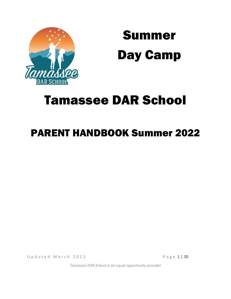

Summer Day Camp

# Tamassee DAR School

# PARENT HANDBOOK Summer 2022

U p d a t e d M a r c h 2 0 2 2 2 a v e d e d H 3 2 0 2 2 a v e d e d H 3 2 0 2 2 a v e d e d H 3 2 0 2 2 a v e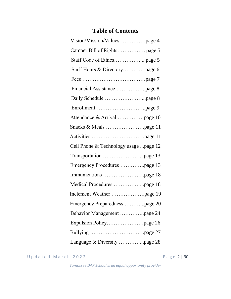# **Table of Contents**

| Staff Hours & Directory page 6        |
|---------------------------------------|
|                                       |
|                                       |
|                                       |
|                                       |
| Attendance & Arrival page 10          |
|                                       |
|                                       |
| Cell Phone & Technology usage page 12 |
|                                       |
| Emergency Procedures page 13          |
|                                       |
|                                       |
|                                       |
| Emergency Preparedness page 20        |
| Behavior Management page 24           |
|                                       |
|                                       |
|                                       |

U p d a t e d M a r c h 2022 <br>P a g e 2 | 30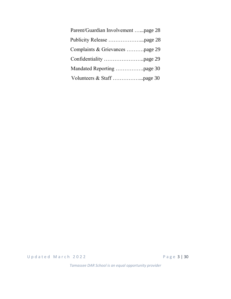| Parent/Guardian Involvement page 28 |
|-------------------------------------|
|                                     |
| Complaints & Grievances page 29     |
|                                     |
|                                     |
|                                     |

U p d a t e d M a r c h 2022 <br>P a g e 3 | 30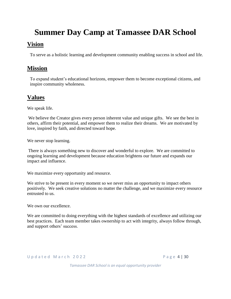# **Summer Day Camp at Tamassee DAR School Vision**

To serve as a holistic learning and development community enabling success in school and life.

# **Mission**

To expand student's educational horizons, empower them to become exceptional citizens, and inspire community wholeness.

# **Values**

We speak life.

We believe the Creator gives every person inherent value and unique gifts. We see the best in others, affirm their potential, and empower them to realize their dreams. We are motivated by love, inspired by faith, and directed toward hope.

We never stop learning.

There is always something new to discover and wonderful to explore. We are committed to ongoing learning and development because education brightens our future and expands our impact and influence.

We maximize every opportunity and resource.

We strive to be present in every moment so we never miss an opportunity to impact others positively. We seek creative solutions no matter the challenge, and we maximize every resource entrusted to us.

We own our excellence.

We are committed to doing everything with the highest standards of excellence and utilizing our best practices. Each team member takes ownership to act with integrity, always follow through, and support others' success.

U p d a t e d M a r c h 2 0 2 2 P a g e 4 | 30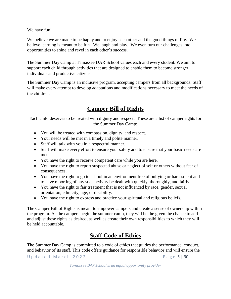We have fun!

We believe we are made to be happy and to enjoy each other and the good things of life. We believe learning is meant to be fun. We laugh and play. We even turn our challenges into opportunities to shine and revel in each other's success.

The Summer Day Camp at Tamassee DAR School values each and every student. We aim to support each child through activities that are designed to enable them to become stronger individuals and productive citizens.

The Summer Day Camp is an inclusive program, accepting campers from all backgrounds. Staff will make every attempt to develop adaptations and modifications necessary to meet the needs of the children.

# **Camper Bill of Rights**

Each child deserves to be treated with dignity and respect. These are a list of camper rights for the Summer Day Camp:

- You will be treated with compassion, dignity, and respect.
- Your needs will be met in a timely and polite manner.
- Staff will talk with you in a respectful manner.
- Staff will make every effort to ensure your safety and to ensure that your basic needs are met.
- You have the right to receive competent care while you are here.
- You have the right to report suspected abuse or neglect of self or others without fear of consequences.
- You have the right to go to school in an environment free of bullying or harassment and to have reporting of any such activity be dealt with quickly, thoroughly, and fairly.
- You have the right to fair treatment that is not influenced by race, gender, sexual orientation, ethnicity, age, or disability.
- You have the right to express and practice your spiritual and religious beliefs.

The Camper Bill of Rights is meant to empower campers and create a sense of ownership within the program. As the campers begin the summer camp, they will be the given the chance to add and adjust these rights as desired, as well as create their own responsibilities to which they will be held accountable.

# **Staff Code of Ethics**

The Summer Day Camp is committed to a code of ethics that guides the performance, conduct, and behavior of its staff. This code offers guidance for responsible behavior and will ensure the

U p d a t e d M a r c h 2 0 2 2 2 2 2 2 P a g e 5 | 30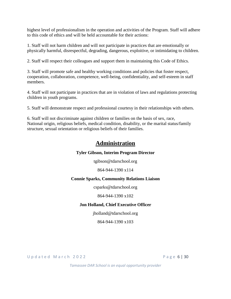highest level of professionalism in the operation and activities of the Program. Staff will adhere to this code of ethics and will be held accountable for their actions:

1. Staff will not harm children and will not participate in practices that are emotionally or physically harmful, disrespectful, degrading, dangerous, exploitive, or intimidating to children.

2. Staff will respect their colleagues and support them in maintaining this Code of Ethics.

3. Staff will promote safe and healthy working conditions and policies that foster respect, cooperation, collaboration, competence, well-being, confidentiality, and self-esteem in staff members.

4. Staff will not participate in practices that are in violation of laws and regulations protecting children in youth programs.

5. Staff will demonstrate respect and professional courtesy in their relationships with others.

6. Staff will not discriminate against children or families on the basis of sex, race, National origin, religious beliefs, medical condition, disability, or the marital status/family structure, sexual orientation or religious beliefs of their families.

# **Administration**

### **Tyler Gibson, Interim Program Director**

[tgibson@tdarschool.org](mailto:tgibson@tdarschool.org)

864-944-1390 x114

### **Connie Sparks, Community Relations Liaison**

[csparks@tdarschool.org](mailto:csparks@tdarschool.org)

864-944-1390 x102

### **Jon Holland, Chief Executive Officer**

[jholland@tdarschool.org](mailto:jholland@tdarschool.org)

864-944-1390 x103

U p d a t e d M a r c h 2 0 2 2 2 2 2 2 P a g e 6 | 30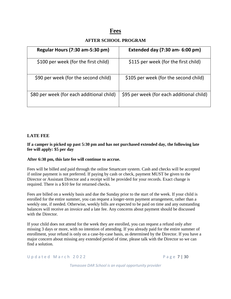# **Fees**

### **AFTER SCHOOL PROGRAM**

| Regular Hours (7:30 am-5:30 pm)           | Extended day (7:30 am- 6:00 pm)           |
|-------------------------------------------|-------------------------------------------|
| \$100 per week (for the first child)      | \$115 per week (for the first child)      |
| \$90 per week (for the second child)      | \$105 per week (for the second child)     |
| \$80 per week (for each additional child) | \$95 per week (for each additional child) |

#### **LATE FEE**

#### **If a camper is picked up past 5:30 pm and has not purchased extended day, the following late fee will apply: \$5 per day**

#### **After 6:30 pm, this late fee will continue to accrue.**

Fees will be billed and paid through the online Smartcare system. Cash and checks will be accepted if online payment is not preferred. If paying by cash or check, payment MUST be given to the Director or Assistant Director and a receipt will be provided for your records. Exact change is required. There is a \$10 fee for returned checks.

Fees are billed on a weekly basis and due the Sunday prior to the start of the week. If your child is enrolled for the entire summer, you can request a longer-term payment arrangement, rather than a weekly one, if needed. Otherwise, weekly bills are expected to be paid on time and any outstanding balances will receive an invoice and a late fee. Any concerns about payment should be discussed with the Director.

If your child does not attend for the week they are enrolled, you can request a refund only after missing 3 days or more, with no intention of attending. If you already paid for the entire summer of enrollment, your refund is only on a case-by-case basis, as determined by the Director. If you have a major concern about missing any extended period of time, please talk with the Director so we can find a solution.

U p d a t e d M a r c h 2022 P a g e 7 | 30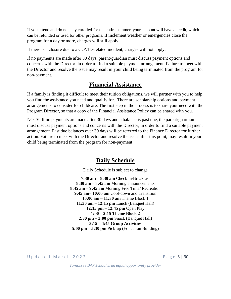If you attend and do not stay enrolled for the entire summer, your account will have a credit, which can be refunded or used for other programs. If inclement weather or emergencies close the program for a day or more, charges will still apply.

If there is a closure due to a COVID-related incident, charges will not apply.

If no payments are made after 30 days, parent/guardian must discuss payment options and concerns with the Director, in order to find a suitable payment arrangement. Failure to meet with the Director and resolve the issue may result in your child being terminated from the program for non-payment.

## **Financial Assistance**

If a family is finding it difficult to meet their tuition obligations, we will partner with you to help you find the assistance you need and qualify for. There are scholarship options and payment arrangements to consider for childcare. The first step in the process is to share your need with the Program Director, so that a copy of the Financial Assistance Policy can be shared with you.

NOTE: If no payments are made after 30 days and a balance is past due, the parent/guardian must discuss payment options and concerns with the Director, in order to find a suitable payment arrangement. Past due balances over 30 days will be referred to the Finance Director for further action. Failure to meet with the Director and resolve the issue after this point, may result in your child being terminated from the program for non-payment.

## **Daily Schedule**

Daily Schedule is subject to change

**7:30 am – 8:30 am** Check In/Breakfast **8:30 am – 8:45 am** Morning announcements **8:45 am – 9:45 am** Morning Free Time/ Recreation **9:45 am– 10:00 am** Cool-down and Transition **10:00 am – 11:30 am** Theme Block 1 **11:30 am – 12:15 pm** Lunch (Banquet Hall) **12:15 pm – 12:45 pm** Open Play **1:00 – 2:15 Theme Block 2 2:30 pm – 3:00 pm** Snack (Banquet Hall) **3:15 – 4:45 Group Activities 5:00 pm – 5:30 pm** Pick-up (Education Building)

U p d a t e d M a r c h 2 0 2 2 P a g e 8 | 30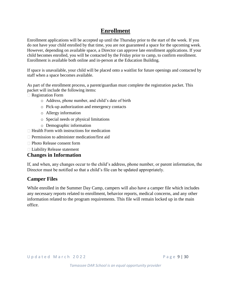# **Enrollment**

Enrollment applications will be accepted up until the Thursday prior to the start of the week. If you do not have your child enrolled by that time, you are not guaranteed a space for the upcoming week. However, depending on available space, a Director can approve late enrollment applications. If your child becomes enrolled, you will be contacted by the Friday prior to camp, to confirm enrollment. Enrollment is available both online and in-person at the Education Building.

If space is unavailable, your child will be placed onto a waitlist for future openings and contacted by staff when a space becomes available.

As part of the enrollment process, a parent/guardian must complete the registration packet. This packet will include the following items:

□ Registration Form

- o Address, phone number, and child's date of birth
- o Pick-up authorization and emergency contacts
- o Allergy information
- o Special needs or physical limitations
- o Demographic information
- $\Box$  Health Form with instructions for medication
- □ Permission to administer medication/first aid
- □ Photo Release consent form
- Liability Release statement

### **Changes in Information**

If, and when, any changes occur to the child's address, phone number, or parent information, the Director must be notified so that a child's file can be updated appropriately.

### **Camper Files**

While enrolled in the Summer Day Camp, campers will also have a camper file which includes any necessary reports related to enrollment, behavior reports, medical concerns, and any other information related to the program requirements. This file will remain locked up in the main office.

U p d a t e d M a r c h 2022 e a d a served a c h e served a r e p a g e 9 | 30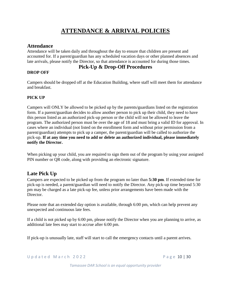# **ATTENDANCE & ARRIVAL POLICIES**

### **Attendance**

Attendance will be taken daily and throughout the day to ensure that children are present and accounted for. If a parent/guardian has any scheduled vacation days or other planned absences and late arrivals, please notify the Director, so that attendance is accounted for during those times.

### **Pick-Up & Drop-Off Procedures**

#### **DROP OFF**

Campers should be dropped off at the Education Building, where staff will meet them for attendance and breakfast.

#### **PICK UP**

Campers will ONLY be allowed to be picked up by the parents/guardians listed on the registration form. If a parent/guardian decides to allow another person to pick up their child, they need to have this person listed as an authorized pick-up person or the child will not be allowed to leave the program. The authorized person must be over the age of 18 and must bring a valid ID for approval. In cases where an individual (not listed on the enrollment form and without prior permission from a parent/guardian) attempts to pick up a camper, the parent/guardian will be called to authorize the pick-up. **If at any time you need to add or delete an authorized individual, please immediately notify the Director.** 

When picking up your child, you are required to sign them out of the program by using your assigned PIN number or QR code, along with providing an electronic signature.

### **Late Pick Up**

Campers are expected to be picked up from the program no later than **5:30 pm**. If extended time for pick-up is needed, a parent/guardian will need to notify the Director. Any pick-up time beyond 5:30 pm may be charged as a late pick-up fee, unless prior arrangements have been made with the Director.

Please note that an extended day option is available, through 6:00 pm, which can help prevent any unexpected and continuous late fees.

If a child is not picked up by 6:00 pm, please notify the Director when you are planning to arrive, as additional late fees may start to accrue after 6:00 pm.

If pick-up is unusually late, staff will start to call the emergency contacts until a parent arrives.

U p d a t e d M a r c h 2022 e d a server a server a server a server a server a server a server a server a se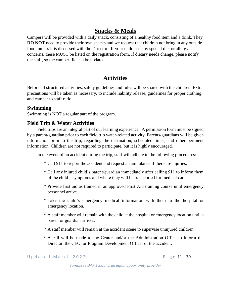# **Snacks & Meals**

Campers will be provided with a daily snack, consisting of a healthy food item and a drink. They **DO NOT** need to provide their own snacks and we request that children not bring in any outside food, unless it is discussed with the Director. If your child has any special diet or allergy concerns, these MUST be listed on the registration form. If dietary needs change, please notify the staff, so the camper file can be updated.

# **Activities**

Before all structured activities, safety guidelines and rules will be shared with the children. Extra precautions will be taken as necessary, to include liability release, guidelines for proper clothing, and camper to staff ratio.

### **Swimming**

Swimming is NOT a regular part of the program.

### **Field Trip & Water Activities**

Field trips are an integral part of our learning experience. A permission form must be signed by a parent/guardian prior to each field trip water-related activity. Parents/guardians will be given information prior to the trip, regarding the destination, scheduled times, and other pertinent information. Children are not required to participate, but it is highly encouraged.

In the event of an accident during the trip, staff will adhere to the following procedures:

- \* Call 911 to report the accident and request an ambulance if there are injuries.
- \* Call any injured child's parent/guardian immediately after calling 911 to inform them of the child's symptoms and where they will be transported for medical care.
- \* Provide first aid as trained in an approved First Aid training course until emergency personnel arrive.
- \* Take the child's emergency medical information with them to the hospital or emergency location.
- \* A staff member will remain with the child at the hospital or emergency location until a parent or guardian arrives.
- \* A staff member will remain at the accident scene to supervise uninjured children.
- \* A call will be made to the Center and/or the Administration Office to inform the Director, the CEO, or Program Development Officer of the accident.

U p d a t e d M a r c h 2022 e 2021 P a g e 11 | 30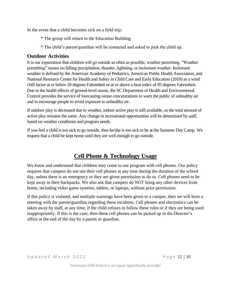In the event that a child becomes sick on a field trip:

- \* The group will return to the Education Building
- \* The child's parent/guardian will be contacted and asked to pick the child up.

### **Outdoor Activities**

It is our expectation that children will go outside as often as possible, weather permitting. "Weather permitting" means no falling precipitation, thunder, lightning, or inclement weather. Inclement weather is defined by the American Academy of Pediatrics, American Public Health Association, and National Resource Center for Health and Safety in Child Care and Early Education (2010) as a wind chill factor at or below 20 degrees Fahrenheit or at or above a heat index of 95 degrees Fahrenheit. Due to the health effects of ground-level ozone, the SC Department of Health and Environmental Control provides the service of forecasting ozone concentrations to warn the public of unhealthy air and to encourage people to avoid exposure to unhealthy air.

If outdoor play is decreased due to weather, indoor active play is still available, so the total amount of active play remains the same. Any change in recreational opportunities will be determined by staff, based on weather conditions and program needs.

If you feel a child is too sick to go outside, then he/she is too sick to be at the Summer Day Camp. We request that a child be kept home until they are well enough to go outside.

# **Cell Phone & Technology Usage**

We know and understand that children may come to our program with cell phones. Our policy requires that campers do not use their cell phones at any time during the duration of the school day, unless there is an emergency or they are given permission to do so. Cell phones need to be kept away in their backpacks. We also ask that campers do NOT bring any other devices from home, including video game systems, tablets, or laptops, without prior permission.

If this policy is violated, and multiple warnings have been given to a camper, then we will have a meeting with the parent/guardian regarding these incidents. Cell phones and electronics can be taken away by staff, at any time, if the child refuses to follow these rules or if they are being used inappropriately. If this is the case, then these cell phones can be picked up in the Director's office at the end of the day by a parent or guardian.

U p d a t e d M a r c h 2022 P a g e 12 | 30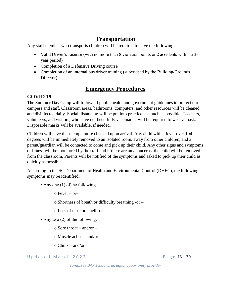# **Transportation**

Any staff member who transports children will be required to have the following:

- Valid Driver's License (with no more than 8 violation points or 2 accidents within a 3year period)
- Completion of a Defensive Driving course
- Completion of an internal bus driver training (supervised by the Building/Grounds Director)

# **Emergency Procedures**

### **COVID 19**

The Summer Day Camp will follow all public health and government guidelines to protect our campers and staff. Classroom areas, bathrooms, computers, and other resources will be cleaned and disinfected daily. Social distancing will be put into practice, as much as possible. Teachers, volunteers, and visitors, who have not been fully vaccinated, will be required to wear a mask. Disposable masks will be available, if needed.

Children will have their temperature checked upon arrival. Any child with a fever over 104 degrees will be immediately removed to an isolated room, away from other children, and a parent/guardian will be contacted to come and pick up their child. Any other signs and symptoms of illness will be monitored by the staff and if there are any concerns, the child will be removed from the classroom. Parents will be notified of the symptoms and asked to pick up their child as quickly as possible.

According to the SC Department of Health and Environmental Control (DHEC), the following symptoms may be identified:

• Any one (1) of the following:

o Fever – or-

o Shortness of breath or difficulty breathing -or –

- o Loss of taste or smell -or –
- Any two (2) of the following:
	- o Sore throat and/or –

o Muscle aches – and/or –

 $\alpha$  Chills – and/or –

U p d a t e d M a r c h 2022 e 2021 a v a se e 13 | 30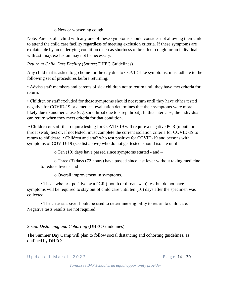#### o New or worsening cough

Note: Parents of a child with any one of these symptoms should consider not allowing their child to attend the child care facility regardless of meeting exclusion criteria. If these symptoms are explainable by an underlying condition (such as shortness of breath or cough for an individual with asthma), exclusion may not be necessary.

#### *Return to Child Care Facility* (Source: DHEC Guidelines)

Any child that is asked to go home for the day due to COVID-like symptoms, must adhere to the following set of procedures before returning:

• Advise staff members and parents of sick children not to return until they have met criteria for return.

• Children or staff excluded for these symptoms should not return until they have either tested negative for COVID-19 or a medical evaluation determines that their symptoms were more likely due to another cause (e.g. sore throat due to strep throat). In this later case, the individual can return when they meet criteria for that condition.

• Children or staff that require testing for COVID-19 will require a negative PCR (mouth or throat swab) test or, if not tested, must complete the current isolation criteria for COVID-19 to return to childcare. • Children and staff who test positive for COVID-19 and persons with symptoms of COVID-19 (see list above) who do not get tested, should isolate until:

o Ten (10) days have passed since symptoms started - and –

o Three (3) days (72 hours) have passed since last fever without taking medicine to reduce fever - and –

o Overall improvement in symptoms.

• Those who test positive by a PCR (mouth or throat swab) test but do not have symptoms will be required to stay out of child care until ten (10) days after the specimen was collected.

• The criteria above should be used to determine eligibility to return to child care. Negative tests results are not required.

### *Social Distancing and Cohorting* (DHEC Guidelines)

The Summer Day Camp will plan to follow social distancing and cohorting guidelines, as outlined by DHEC:

U p d a t e d M a r c h 2022 e 2021 a v a se c h e a g e 14 | 30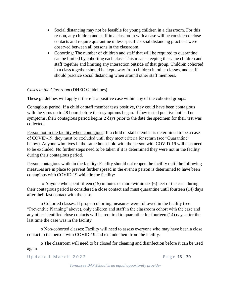- Social distancing may not be feasible for young children in a classroom. For this reason, any children and staff in a classroom with a case will be considered close contacts and require quarantine unless specific social distancing practices were observed between all persons in the classroom.
- Cohorting: The number of children and staff that will be required to quarantine can be limited by cohorting each class. This means keeping the same children and staff together and limiting any interaction outside of that group. Children cohorted in a class together should be kept away from children in other classes, and staff should practice social distancing when around other staff members.

#### *Cases in the Classroom* (DHEC Guidelines)

These guidelines will apply if there is a positive case within any of the cohorted groups:

Contagious period: If a child or staff member tests positive, they could have been contagious with the virus up to 48 hours before their symptoms began. If they tested positive but had no symptoms, their contagious period begins 2 days prior to the date the specimen for their test was collected.

Person not in the facility when contagious: If a child or staff member is determined to be a case of COVID-19, they must be excluded until they meet criteria for return (see "Quarantine" below). Anyone who lives in the same household with the person with COVID-19 will also need to be excluded. No further steps need to be taken if it is determined they were not in the facility during their contagious period.

Person contagious while in the facility: Facility should not reopen the facility until the following measures are in place to prevent further spread in the event a person is determined to have been contagious with COVID-19 while in the facility:

o Anyone who spent fifteen (15) minutes or more within six (6) feet of the case during their contagious period is considered a close contact and must quarantine until fourteen (14) days after their last contact with the case.

o Cohorted classes: If proper cohorting measures were followed in the facility (see "Preventive Planning" above), only children and staff in the classroom cohort with the case and any other identified close contacts will be required to quarantine for fourteen (14) days after the last time the case was in the facility.

o Non-cohorted classes: Facility will need to assess everyone who may have been a close contact to the person with COVID-19 and exclude them from the facility.

o The classroom will need to be closed for cleaning and disinfection before it can be used again.

U p d a t e d M a r c h 2022 P a g e 15 | 30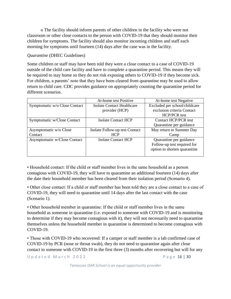o The facility should inform parents of other children in the facility who were not classroom or other close contacts to the person with COVID-19 that they should monitor their children for symptoms. The facility should also monitor incoming children and staff each morning for symptoms until fourteen (14) days after the case was in the facility.

#### *Quarantine* (DHEC Guidelines)

Some children or staff may have been told they were a close contact to a case of COVID-19 outside of the child care facility and have to complete a quarantine period. This means they will be required to stay home so they do not risk exposing others to COVID-19 if they become sick. For children, a parents' note that they have been cleared from quarantine may be used to allow return to child care. CDC provides guidance on appropriately counting the quarantine period for different scenarios.

|                               | At-home test Positive          | At-home test Negative         |
|-------------------------------|--------------------------------|-------------------------------|
| Symptomatic w/o Close Contact | Isolate Contact Healthcare     | Excluded per school/childcare |
|                               | provider (HCP)                 | exclusion criteria Contact    |
|                               |                                | <b>HCP/PCR</b> test           |
| Symptomatic w/Close Contact   | <b>Isolate Contact HCP</b>     | <b>Contact HCP/PCR test</b>   |
|                               |                                | Quarantine per guidance       |
| Asymptomatic w/o Close        | Isolate Follow-up test Contact | May return to Summer Day      |
| Contact                       | <b>HCP</b>                     | Camp                          |
| Asymptomatic w/Close Contact  | Isolate Contact HCP            | Quarantine per guidance       |
|                               |                                | Follow-up test required for   |
|                               |                                | option to shorten quarantine  |
|                               |                                |                               |

• Household contact: If the child or staff member lives in the same household as a person contagious with COVID-19, they will have to quarantine an additional fourteen (14) days after the date their household member has been cleared from their isolation period (Scenario 4).

• Other close contact: If a child or staff member has been told they are a close contact to a case of COVID-19, they will need to quarantine until 14 days after the last contact with the case (Scenario 1).

• Other household member in quarantine: If the child or staff member lives in the same household as someone in quarantine (i.e. exposed to someone with COVID-19 and is monitoring to determine if they may become contagious with it), they will not necessarily need to quarantine themselves unless the household member in quarantine is determined to become contagious with COVID-19.

• Those with COVID-19 who recovered: If a camper or staff member is a lab confirmed case of COVID-19 by PCR (nose or throat swab), they do not need to quarantine again after close contact to someone with COVID-19 in the first three (3) months after recovering but will for any

U p d a t e d M a r c h 2022 P a g e 16 | 30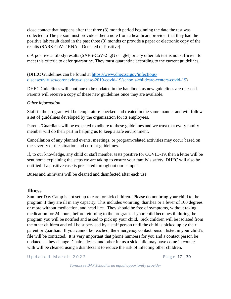close contact that happens after that three (3) month period beginning the date the test was collected. o The person must provide either a note from a healthcare provider that they had the positive lab result dated in the past three (3) months or provide a paper or electronic copy of the results (SARS-CoV-2 RNA – Detected or Positive)

o A positive antibody results (SARS-CoV-2 IgG or IgM) or any other lab test is not sufficient to meet this criteria to defer quarantine. They must quarantine according to the current guidelines.

(DHEC Guidelines can be found at [https://www.dhec.sc.gov/infectious](https://www.dhec.sc.gov/infectious-diseases/viruses/coronavirus-disease-2019-covid-19/schools-childcare-centers-covid-19)[diseases/viruses/coronavirus-disease-2019-covid-19/schools-childcare-centers-covid-19\)](https://www.dhec.sc.gov/infectious-diseases/viruses/coronavirus-disease-2019-covid-19/schools-childcare-centers-covid-19)

DHEC Guidelines will continue to be updated in the handbook as new guidelines are released. Parents will receive a copy of these new guidelines once they are available.

#### *Other information*

Staff in the program will be temperature-checked and treated in the same manner and will follow a set of guidelines developed by the organization for its employees.

Parents/Guardians will be expected to adhere to these guidelines and we trust that every family member will do their part in helping us to keep a safe environment.

Cancellation of any planned events, meetings, or program-related activities may occur based on the severity of the situation and current guidelines.

If, to our knowledge, any child or staff member tests positive for COVID-19, then a letter will be sent home explaining the steps we are taking to ensure your family's safety. DHEC will also be notified if a positive case is presented throughout our campus.

Buses and minivans will be cleaned and disinfected after each use.

#### **Illness**

Summer Day Camp is not set up to care for sick children. Please do not bring your child to the program if they are ill in any capacity. This includes vomiting, diarrhea or a fever of 100 degrees or more without medication, and head lice. They should be free of symptoms, without taking medication for 24 hours, before returning to the program. If your child becomes ill during the program you will be notified and asked to pick up your child. Sick children will be isolated from the other children and will be supervised by a staff person until the child is picked up by their parent or guardian. If you cannot be reached, the emergency contact person listed in your child's file will be contacted. It is very important that phone numbers for you and a contact person be updated as they change. Chairs, desks, and other items a sick child may have come in contact with will be cleaned using a disinfectant to reduce the risk of infecting other children.

U p d a t e d M a r c h 2022 P a g e 17 | 30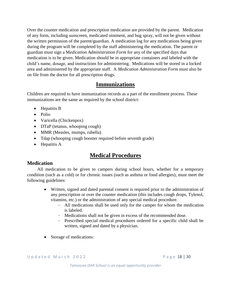Over the counter medication and prescription medication are provided by the parent. Medication of any form, including sunscreen, medicated ointment, and bug spray, will not be given without the written permission of the parent/guardian. A medication log for any medications being given during the program will be completed by the staff administering the medication. The parent or guardian must sign a M*edication Administration Form* for any of the specified days that medication is to be given. Medication should be in appropriate containers and labeled with the child's name, dosage, and instructions for administering. Medications will be stored in a locked area and administered by the appropriate staff. A *Medication Administration Form* must also be on file from the doctor for all prescription drugs.

# **Immunizations**

Children are required to have immunization records as a part of the enrollment process. These immunizations are the same as required by the school district:

- Hepatitis B
- Polio
- Varicella (Chickenpox)
- DTaP (tetanus, whooping cough)
- MMR (Measles, mumps, rubella)
- Tdap (whooping cough booster required before seventh grade)
- Hepatitis A

# **Medical Procedures**

### **Medication**

All medication to be given to campers during school hours, whether for a temporary condition (such as a cold) or for chronic issues (such as asthma or food allergies), must meet the following guidelines:

- Written, signed and dated parental consent is required prior to the administration of any prescription or over the counter medication (this includes cough drops, Tylenol, vitamins, etc.) or the administration of any special medical procedure.
	- All medications shall be used only for the camper for whom the medication is labeled.
	- Medications shall not be given in excess of the recommended dose.
	- Prescribed special medical procedures ordered for a specific child shall be written, signed and dated by a physician.
- Storage of medications:

U p d a t e d M a r c h 2022 e 2021 a v a se c h e se federal a P a g e 18 | 30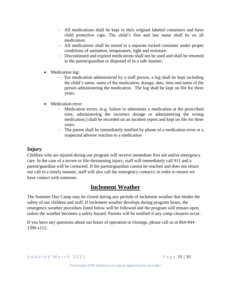- All medications shall be kept in their original labeled containers and have child protective caps. The child's first and last name shall be on all medication.
- All medications shall be stored in a separate locked container under proper conditions of sanitation, temperature, light and moisture.
- Discontinued and expired medications shall not be used and shall be returned to the parent/guardian or disposed of in a safe manner.
- Medication log:
	- For medication administered by a staff person, a log shall be kept including the child's name, name of the medication, dosage, date, time and name of the person administering the medication. The log shall be kept on file for three years.
- Medication error:
	- Medication errors, (e.g. failure to administer a medication at the prescribed time, administering the incorrect dosage or administering the wrong medication;) shall be recorded on an incident report and kept on file for three years.
	- The parent shall be immediately notified by phone of a medication error or a suspected adverse reaction to a medication

### **Injury**

Children who are injured during our program will receive immediate first aid and/or emergency care. In the case of a severe or life-threatening injury, staff will immediately call 911 and a parent/guardian will be contacted. If the parent/guardian cannot be reached and does not return our call in a timely manner, staff will also call the emergency contact/s in order to ensure we have contact with someone.

# **Inclement Weather**

The Summer Day Camp may be closed during any periods of inclement weather that hinder the safety of our children and staff. If inclement weather develops during program hours, the emergency weather procedues listed below will be followed and the program will remain open, unless the weather becomes a safety hazard. Parents will be notified if any camp closures occur.

If you have any questions about our hours of operation or closings, please call us at 864-944- 1390 x112.

U p d a t e d M a r c h 2022 e 2021 a v a se c h e se federal a P a g e 19 | 30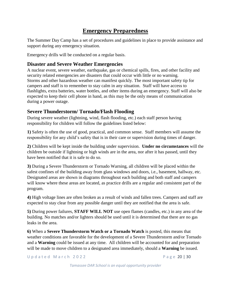# **Emergency Preparedness**

The Summer Day Camp has a set of procedures and guidelines in place to provide assistance and support during any emergency situation.

Emergency drills will be conducted on a regular basis.

### **Disaster and Severe Weather Emergencies**

A nuclear event, severe weather, earthquake, gas or chemical spills, fires, and other facility and security related emergencies are disasters that could occur with little or no warning. Storms and other hazardous weather can manifest quickly. The most important safety tip for campers and staff is to remember to stay calm in any situation. Staff will have access to flashlights, extra batteries, water bottles, and other items during an emergency. Staff will also be expected to keep their cell phone in hand, as this may be the only means of communication during a power outage.

### **Severe Thunderstorm/ Tornado/Flash Flooding**

During severe weather (lightning, wind, flash flooding, etc.) each staff person having responsibility for children will follow the guidelines listed below:

**1)** Safety is often the use of good, practical, and common sense. Staff members will assume the responsibility for any child's safety that is in their care or supervision during times of danger.

**2)** Children will be kept inside the building under supervision. **Under no circumstances** will the children be outside if lightning or high winds are in the area, nor after it has passed, until they have been notified that it is safe to do so.

**3)** During a Severe Thunderstorm or Tornado Warning, all children will be placed within the safest confines of the building away from glass windows and doors, i.e., basement, hallway, etc. Designated areas are shown in diagrams throughout each building and both staff and campers will know where these areas are located, as practice drills are a regular and consistent part of the program.

**4)** High voltage lines are often broken as a result of winds and fallen trees. Campers and staff are expected to stay clear from any possible danger until they are notified that the area is safe.

**5)** During power failures, **STAFF WILL NOT** use open flames (candles, etc.) in any area of the building. No matches and/or lighters should be used until it is determined that there are no gas leaks in the area.

**6)** When a **Severe Thunderstorm Watch or a Tornado Watch** is posted, this means that weather conditions are favorable for the development of a Severe Thunderstorm and/or Tornado and a **Warning** could be issued at any time. All children will be accounted for and preparation will be made to move children to a designated area immediately, should a **Warning** be issued.

U p d a t e d M a r c h 2022 P a g e 20 | 30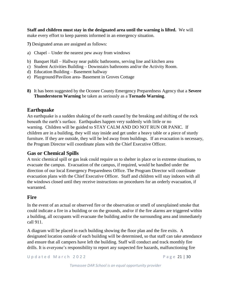**Staff and children must stay in the designated area until the warning is lifted.** We will make every effort to keep parents informed in an emergency situation.

**7)** Designated areas are assigned as follows:

- a) Chapel Under the nearest pew away from windows
- b) Banquet Hall Hallway near public bathrooms, serving line and kitchen area
- c) Student Activities Building Downstairs bathrooms and/or the Activity Room.
- d) Education Building Basement hallway
- e) Playground/Pavilion area- Basement in Groves Cottage
- **8)** It has been suggested by the Oconee County Emergency Preparedness Agency that a **Severe Thunderstorm Warning** be taken as seriously as a **Tornado Warning**.

### **Earthquake**

An earthquake is a sudden shaking of the earth caused by the breaking and shifting of the rock beneath the earth's surface. Earthquakes happen very suddenly with little or no warning. Children will be guided to STAY CALM AND DO NOT RUN OR PANIC. If children are in a building, they will stay inside and get under a heavy table or a piece of sturdy furniture. If they are outside, they will be led away from buildings. If an evacuation is necessary, the Program Director will coordinate plans with the Chief Executive Officer.

### **Gas or Chemical Spills**

A toxic chemical spill or gas leak could require us to shelter in place or in extreme situations, to evacuate the campus. Evacuation of the campus, if required, would be handled under the direction of our local Emergency Preparedness Office. The Program Director will coordinate evacuation plans with the Chief Executive Officer. Staff and children will stay indoors with all the windows closed until they receive instructions on procedures for an orderly evacuation, if warranted.

### **Fire**

In the event of an actual or observed fire or the observation or smell of unexplained smoke that could indicate a fire in a building or on the grounds, and/or if the fire alarms are triggered within a building, all occupants will evacuate the building and/or the surrounding area and immediately call 911.

A diagram will be placed in each building showing the floor plan and the fire exits. A designated location outside of each building will be determined, so that staff can take attendance and ensure that all campers have left the building. Staff will conduct and track monthly fire drills. It is everyone's responsibility to report any suspected fire hazards, malfunctioning fire

U p d a t e d M a r c h 2022 P a g e 21 | 30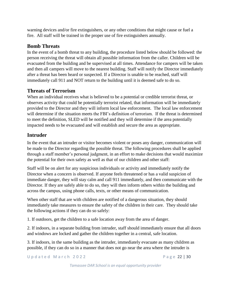warning devices and/or fire extinguishers, or any other conditions that might cause or fuel a fire. All staff will be trained in the proper use of fire extinguishers annually.

### **Bomb Threats**

In the event of a bomb threat to any building, the procedure listed below should be followed: the person receiving the threat will obtain all possible information from the caller. Children will be evacuated from the building and be supervised at all times. Attendance for campers will be taken and then all campers will move to the nearest building. Staff will notify the Director immediately after a threat has been heard or suspected. If a Director is unable to be reached, staff will immediately call 911 and NOT return to the building until it is deemed safe to do so.

### **Threats of Terrorism**

When an individual receives what is believed to be a potential or credible terrorist threat, or observes activity that could be potentially terrorist related, that information will be immediately provided to the Director and they will inform local law enforcement. The local law enforcement will determine if the situation meets the FBI's definition of terrorism. If the threat is determined to meet the definition, SLED will be notified and they will determine if the area potentially impacted needs to be evacuated and will establish and secure the area as appropriate.

### **Intruder**

In the event that an intruder or visitor becomes violent or poses any danger, communication will be made to the Director regarding the possible threat. The following procedures shall be applied through a staff member's personal judgment, in an effort to make decisions that would maximize the potential for their own safety as well as that of our children and other staff:

Staff will be on alert for any suspicious individuals or activity and immediately notify the Director when a concern is observed. If anyone feels threatened or has a valid suspicion of immediate danger, they will stay calm and call 911 immediately, and then communicate with the Director. If they are safely able to do so, they will then inform others within the building and across the campus, using phone calls, texts, or other means of communication.

When other staff that are with children are notified of a dangerous situation, they should immediately take measures to ensure the safety of the children in their care. They should take the following actions if they can do so safely:

1. If outdoors, get the children to a safe location away from the area of danger.

2. If indoors, in a separate building from intruder, staff should immediately ensure that all doors and windows are locked and gather the children together in a central, safe location.

3. If indoors, in the same building as the intruder, immediately evacuate as many children as possible, if they can do so in a manner that does not go near the area where the intruder is

U p d a t e d M a r c h 2022 <br>P a g e 22 | 30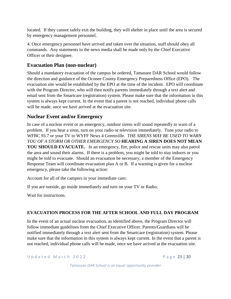located. If they cannot safely exit the building, they will shelter in place until the area is secured by emergency management personnel.

4. Once emergency personnel have arrived and taken over the situation, staff should obey all commands. Any statements to the news media shall be made only by the Chief Executive Officer or their designee.

### **Evacuation Plan (non-nuclear)**

Should a mandatory evacuation of the campus be ordered, Tamassee DAR School would follow the direction and guidance of the Oconee County Emergency Preparedness Office (EPO). The evacuation site would be established by the EPO at the time of the incident. EPO will coordinate with the Program Director, who will then notify parents immediately through a text alert and email sent from the Smartcare (registration) system. Please make sure that the information in this system is always kept current. In the event that a parent is not reached, individual phone calls will be made, once we have arrived at the evacuation site.

### **Nuclear Event and/or Emergency**

In case of a nuclear event or an emergency, outdoor sirens will sound repeatedly to warn of a problem. If you hear a siren, turn on your radio or television immediately. Tune your radio to WFBC 93.7 or your TV to WYFF News 4 Greenville. *THE SIRENS MAY BE USED TO WARN YOU OF A STORM OR OTHER EMERGENCY SO* **HEARING A SIREN DOES NOT MEAN YOU SHOULD EVACUATE.** In an emergency, fire, police and rescue units may also patrol the area and sound their alarms. If there is a problem, you might be told to stay indoors or you might be told to evacuate. Should an evacuation be necessary, a member of the Emergency Response Team will coordinate evacuation plan A or B. If a warning is given for a nuclear emergency, please take the following action:

Account for all of the campers in your immediate care;

If you are outside, go inside immediately and turn on your TV or Radio;

Wait for instructions.

### **EVACUATION PROCESS FOR THE AFTER SCHOOL AND FULL DAY PROGRAM**

In the event of an actual nuclear evacuation, as identified above, the Program Director will follow immediate guidelines from the Chief Executive Officer. Parents/Guardians will be notified immediately through a text alert sent from the Smartcare (registration) system. Please make sure that the information in this system is always kept current. In the event that a parent is not reached, individual phone calls will be made, once we have arrived at the evacuation site.

U p d a t e d M a r c h 2022 2 P a g e 23 | 30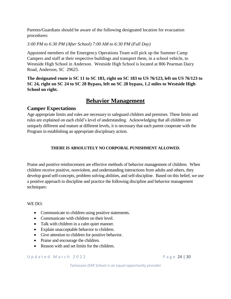Parents/Guardians should be aware of the following designated location for evacuation procedures:

#### *3:00 PM to 6:30 PM (After School) 7:00 AM to 6:30 PM (Full Day)*

Appointed members of the Emergency Operations Team will pick up the Summer Camp Campers and staff at their respective buildings and transport them, in a school vehicle, to Westside High School in Anderson. Westside High School is located at 806 Pearman Dairy Road, Anderson, SC 29625.

**The designated route is SC 11 to SC 183, right on SC 183 to US 76/123, left on US 76/123 to SC 24, right on SC 24 to SC 28 Bypass, left on SC 28 bypass, 1.2 miles to Westside High School on right.**

## **Behavior Management**

### **Camper Expectations**

Age appropriate limits and rules are necessary to safeguard children and premises. These limits and rules are explained on each child's level of understanding. Acknowledging that all children are uniquely different and mature at different levels, it is necessary that each parent cooperate with the Program in establishing an appropriate disciplinary action.

#### **THERE IS ABSOLUTELY NO CORPORAL PUNISHMENT ALLOWED.**

Praise and positive reinforcement are effective methods of behavior management of children. When children receive positive, nonviolent, and understanding interactions from adults and others, they develop good self-concepts, problem solving abilities, and self-discipline. Based on this belief, we use a positive approach to discipline and practice the following discipline and behavior management techniques:

#### WE DO:

- Communicate to children using positive statements.
- Communicate with children on their level.
- Talk with children in a calm quiet manner.
- Explain unacceptable behavior to children.
- Give attention to children for positive behavior.
- Praise and encourage the children.
- Reason with and set limits for the children.

U p d a t e d M a r c h 2022 e 24 | 30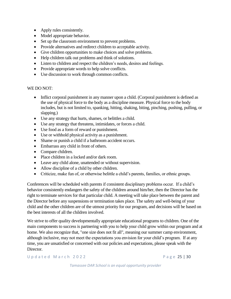- Apply rules consistently.
- Model appropriate behavior.
- Set up the classroom environment to prevent problems.
- Provide alternatives and redirect children to acceptable activity.
- Give children opportunities to make choices and solve problems.
- Help children talk out problems and think of solutions.
- Listen to children and respect the children's needs, desires and feelings.
- Provide appropriate words to help solve conflicts.
- Use discussion to work through common conflicts.

#### WE DO NOT:

- Inflict corporal punishment in any manner upon a child. (Corporal punishment is defined as the use of physical force to the body as a discipline measure. Physical force to the body includes, but is not limited to, spanking, hitting, shaking, biting, pinching, pushing, pulling, or slapping.)
- Use any strategy that hurts, shames, or belittles a child.
- Use any strategy that threatens, intimidates, or forces a child.
- Use food as a form of reward or punishment.
- Use or withhold physical activity as a punishment.
- Shame or punish a child if a bathroom accident occurs.
- Embarrass any child in front of others.
- Compare children.
- Place children in a locked and/or dark room.
- Leave any child alone, unattended or without supervision.
- Allow discipline of a child by other children.
- Criticize, make fun of, or otherwise belittle a child's parents, families, or ethnic groups.

Conferences will be scheduled with parents if consistent disciplinary problems occur. If a child's behavior consistently endangers the safety of the children around him/her, then the Director has the right to terminate services for that particular child. A meeting will take place between the parent and the Director before any suspensions or termination takes place. The safety and well-being of your child and the other children are of the utmost priority for our program, and decisions will be based on the best interests of all the children involved.

We strive to offer quality developmentally appropriate educational programs to children. One of the main components to success is partnering with you to help your child grow within our program and at home. We also recognize that, "one size does not fit all", meaning our summer camp environment, although inclusive, may not meet the expectations you envision for your child's program. If at any time, you are unsatisfied or concerned with our policies and expectations, please speak with the Director.

U p d a t e d M a r c h 2022 P a g e 25 | 30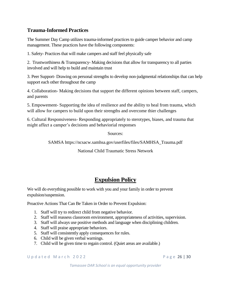### **Trauma-Informed Practices**

The Summer Day Camp utilizes trauma-informed practices to guide camper behavior and camp management. These practices have the following components:

1. Safety- Practices that will make campers and staff feel physically safe

2. Trustworthiness & Transparency- Making decisions that allow for transparency to all parties involved and will help to build and maintain trust

3. Peer Support- Drawing on personal strengths to develop non-judgmental relationships that can help support each other throughout the camp

4. Collaboration- Making decisions that support the different opinions between staff, campers, and parents

5. Empowement- Supporting the idea of resilience and the ability to heal from trauma, which will allow for campers to build upon their strengths and overcome thier challenges

6. Cultural Responsiveness- Responding appropriately to sterotypes, biases, and trauma that might affect a camper's decisions and behaviorial responses

Sources:

SAMSA [https://ncsacw.samhsa.gov/userfiles/files/SAMHSA\\_Trauma.pdf](https://ncsacw.samhsa.gov/userfiles/files/SAMHSA_Trauma.pdf)

National Child Traumatic Stress Network

# **Expulsion Policy**

We will do everything possible to work with you and your family in order to prevent expulsion/suspension.

Proactive Actions That Can Be Taken in Order to Prevent Expulsion:

- 1. Staff will try to redirect child from negative behavior.
- 2. Staff will reassess classroom environment, appropriateness of activities, supervision.
- 3. Staff will always use positive methods and language when disciplining children.
- 4. Staff will praise appropriate behaviors.
- 5. Staff will consistently apply consequences for rules.
- 6. Child will be given verbal warnings.
- 7. Child will be given time to regain control. (Quiet areas are available.)

U p d a t e d M a r c h 2022 2 P a g e 26 | 30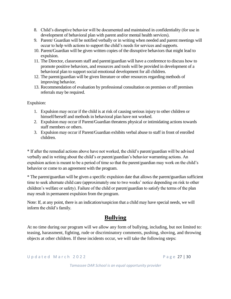- 8. Child's disruptive behavior will be documented and maintained in confidentiality (for use in development of behavioral plan with parent and/or mental health services).
- 9. Parent/ Guardian will be notified verbally or in writing when needed and parent meetings will occur to help with actions to support the child's needs for services and supports.
- 10. Parent/Guardian will be given written copies of the disruptive behaviors that might lead to expulsion.
- 11. The Director, classroom staff and parent/guardian will have a conference to discuss how to promote positive behaviors, and resources and tools will be provided in development of a behavioral plan to support social emotional development for all children.
- 12. The parent/guardian will be given literature or other resources regarding methods of improving behavior.
- 13. Recommendation of evaluation by professional consultation on premises or off premises referrals may be required.

Expulsion:

- 1. Expulsion may occur if the child is at risk of causing serious injury to other children or himself/herself and methods in behavioral plan have not worked.
- 2. Expulsion may occur if Parent/Guardian threatens physical or intimidating actions towards staff members or others.
- 3. Expulsion may occur if Parent/Guardian exhibits verbal abuse to staff in front of enrolled children.

\* If after the remedial actions above have not worked, the child's parent/guardian will be advised verbally and in writing about the child's or parent/guardian's behavior warranting actions. An expulsion action is meant to be a period of time so that the parent/guardian may work on the child's behavior or come to an agreement with the program.

\* The parent/guardian will be given a specific expulsion date that allows the parent/guardian sufficient time to seek alternate child care (approximately one to two weeks' notice depending on risk to other children's welfare or safety). Failure of the child or parent/guardian to satisfy the terms of the plan may result in permanent expulsion from the program.

Note: If, at any point, there is an indication/suspicion that a child may have special needs, we will inform the child's family.

# **Bullying**

At no time during our program will we allow any form of bullying, including, but not limited to: teasing, harassment, fighting, rude or discriminatory comments, pushing, shoving, and throwing objects at other children. If these incidents occur, we will take the following steps:

U p d a t e d M a r c h 2022 P a g e 27 | 30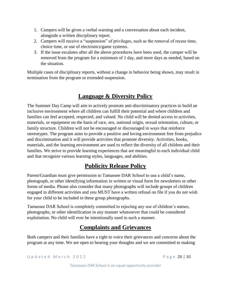- 1. Campers will be given a verbal warning and a conversation about each incident, alongside a written disciplinary report.
- 2. Campers will receive a "suspension" of privileges, such as the removal of recess time, choice time, or use of electronics/game systems.
- 3. If the issue escalates after all the above procedures have been used, the camper will be removed from the program for a minimum of 1 day, and more days as needed, based on the situation.

Multiple cases of disciplinary reports, without a change in behavior being shown, may result in termination from the program or extended suspension.

# **Language & Diversity Policy**

The Summer Day Camp will aim to actively promote anti-discriminatory practices to build an inclusive environment where all children can fulfill their potential and where children and families can feel accepted, respected, and valued. No child will be denied access to activities, materials, or equipment on the basis of race, sex, national origin, sexual orientation, culture, or family structure. Children will not be encouraged or discouraged in ways that reinforce stereotypes. The program aims to provide a positive and loving environment free from prejudice and discrimination and it will provide activities that promote diversity. Activities, books, materials, and the learning environment are used to reflect the diversity of all children and their families. We strive to provide learning experiences that are meaningful to each individual child and that recognize various learning styles, languages, and abilities.

# **Publicity Release Policy**

Parent/Guardian must give permission to Tamassee DAR School to use a child's name, photograph, or other identifying information in written or visual form for newsletters or other forms of media. Please also consider that many photographs will include groups of children engaged in different activities and you MUST have a written refusal on file if you do not wish for your child to be included in these group photographs.

Tamassee DAR School is completely committed to rejecting any use of children's names, photographs, or other identification in any manner whatsoever that could be considered exploitation. No child will ever be intentionally used in such a manner.

# **Complaints and Grievances**

Both campers and their families have a right to voice their grievances and concerns about the program at any time. We are open to hearing your thoughts and we are committed to making

U p d a t e d M a r c h 2022 P a g e 28 | 30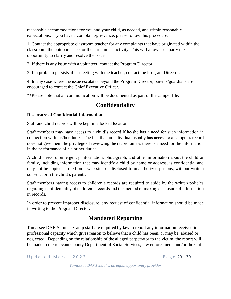reasonable accommodations for you and your child, as needed, and within reasonable expectations. If you have a complaint/grievance, please follow this procedure:

1. Contact the appropriate classroom teacher for any complaints that have originated within the classroom, the outdoor space, or the enrichment activity. This will allow each party the opportunity to clarify and resolve the issue.

2. If there is any issue with a volunteer, contact the Program Director.

3. If a problem persists after meeting with the teacher, contact the Program Director.

4. In any case where the issue escalates beyond the Program Director, parents/guardians are encouraged to contact the Chief Executive Officer.

\*\*Please note that all communication will be documented as part of the camper file.

# **Confidentiality**

#### **Disclosure of Confidential Information**

Staff and child records will be kept in a locked location.

Staff members may have access to a child's record if he/she has a need for such information in connection with his/her duties. The fact that an individual usually has access to a camper's record does not give them the privilege of reviewing the record unless there is a need for the information in the performance of his or her duties.

A child's record, emergency information, photograph, and other information about the child or family, including information that may identify a child by name or address, is confidential and may not be copied, posted on a web site, or disclosed to unauthorized persons, without written consent form the child's parents.

Staff members having access to children's records are required to abide by the written policies regarding confidentiality of children's records and the method of making disclosure of information in records.

In order to prevent improper disclosure, any request of confidential information should be made in writing to the Program Director.

# **Mandated Reporting**

Tamassee DAR Summer Camp staff are required by law to report any information received in a professional capacity which gives reason to believe that a child has been, or may be, abused or neglected. Depending on the relationship of the alleged perpetrator to the victim, the report will be made to the relevant County Department of Social Services, law enforcement, and/or the Out-

U p d a t e d M a r c h 2022 P a g e 29 | 30